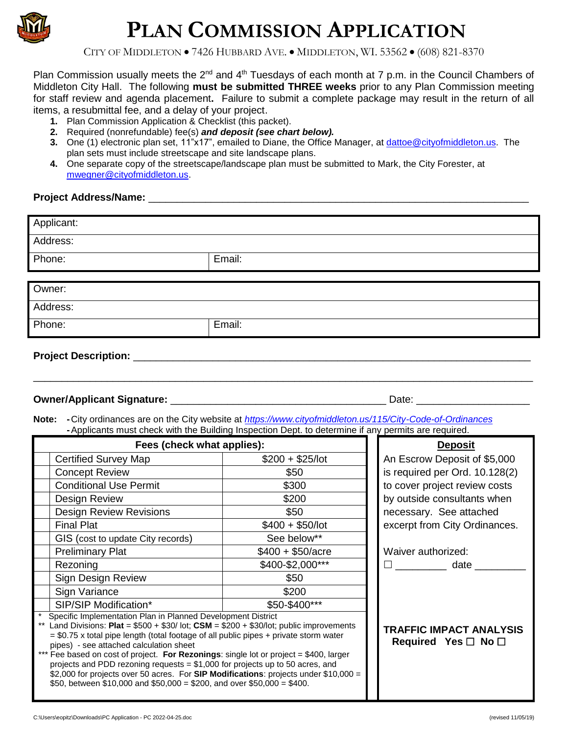

# **PLAN COMMISSION APPLICATION**

CITY OF MIDDLETON • 7426 HUBBARD AVE. • MIDDLETON, WI. 53562 • (608) 821-8370

Plan Commission usually meets the 2<sup>nd</sup> and 4<sup>th</sup> Tuesdays of each month at 7 p.m. in the Council Chambers of Middleton City Hall. The following **must be submitted THREE weeks** prior to any Plan Commission meeting for staff review and agenda placement**.** Failure to submit a complete package may result in the return of all items, a resubmittal fee, and a delay of your project.

- **1.** Plan Commission Application & Checklist (this packet).
- **2.** Required (nonrefundable) fee(s) *and deposit (see chart below).*
- **3.** One (1) electronic plan set, 11"x17", emailed to Diane, the Office Manager, at *dattoe@cityofmiddleton.us*. The plan sets must include streetscape and site landscape plans.
- **4.** One separate copy of the streetscape/landscape plan must be submitted to Mark, the City Forester, at [mwegner@cityofmiddleton.us.](mailto:mwegner@cityofmiddleton.us)

#### Project Address/Name: **Project Address/Name:**

| Applicant: |        |
|------------|--------|
| Address:   |        |
| Phone:     | Email: |
|            |        |
| Owner:     |        |
|            |        |
| Address:   |        |
| Phone:     | Email: |

\_\_\_\_\_\_\_\_\_\_\_\_\_\_\_\_\_\_\_\_\_\_\_\_\_\_\_\_\_\_\_\_\_\_\_\_\_\_\_\_\_\_\_\_\_\_\_\_\_\_\_\_\_\_\_\_\_\_\_\_\_\_\_\_\_\_\_\_\_\_\_\_\_\_\_\_\_\_\_\_\_\_\_\_\_\_\_\_

**Project Description:** \_\_\_\_\_\_\_\_\_\_\_\_\_\_\_\_\_\_\_\_\_\_\_\_\_\_\_\_\_\_\_\_\_\_\_\_\_\_\_\_\_\_\_\_\_\_\_\_\_\_\_\_\_\_\_\_\_\_\_\_\_\_\_\_\_\_\_\_\_\_

#### **Owner/Applicant Signature:** \_\_\_\_\_\_\_\_\_\_\_\_\_\_\_\_\_\_\_\_\_\_\_\_\_\_\_\_\_\_\_\_\_\_\_\_\_\_ Date: \_\_\_\_\_\_\_\_\_\_\_\_\_\_\_\_\_\_\_\_

**Note: -**City ordinances are on the City website at *<https://www.cityofmiddleton.us/115/City-Code-of-Ordinances>* **-**Applicants must check with the Building Inspection Dept. to determine if any permits are required.

| Fees (check what applies):                                                                                                                                                                                                                                                                                                                                                                                                                                                                                                                                                                                                                  |                    | <b>Deposit</b>                                                  |
|---------------------------------------------------------------------------------------------------------------------------------------------------------------------------------------------------------------------------------------------------------------------------------------------------------------------------------------------------------------------------------------------------------------------------------------------------------------------------------------------------------------------------------------------------------------------------------------------------------------------------------------------|--------------------|-----------------------------------------------------------------|
| <b>Certified Survey Map</b>                                                                                                                                                                                                                                                                                                                                                                                                                                                                                                                                                                                                                 | $$200 + $25/$ lot  | An Escrow Deposit of \$5,000                                    |
| <b>Concept Review</b>                                                                                                                                                                                                                                                                                                                                                                                                                                                                                                                                                                                                                       | \$50               | is required per Ord. 10.128(2)                                  |
| <b>Conditional Use Permit</b>                                                                                                                                                                                                                                                                                                                                                                                                                                                                                                                                                                                                               | \$300              | to cover project review costs                                   |
| Design Review                                                                                                                                                                                                                                                                                                                                                                                                                                                                                                                                                                                                                               | \$200              | by outside consultants when                                     |
| <b>Design Review Revisions</b>                                                                                                                                                                                                                                                                                                                                                                                                                                                                                                                                                                                                              | \$50               | necessary. See attached                                         |
| <b>Final Plat</b>                                                                                                                                                                                                                                                                                                                                                                                                                                                                                                                                                                                                                           | $$400 + $50/lot$   | excerpt from City Ordinances.                                   |
| GIS (cost to update City records)                                                                                                                                                                                                                                                                                                                                                                                                                                                                                                                                                                                                           | See below**        |                                                                 |
| <b>Preliminary Plat</b>                                                                                                                                                                                                                                                                                                                                                                                                                                                                                                                                                                                                                     | $$400 + $50/$ acre | Waiver authorized:                                              |
| Rezoning                                                                                                                                                                                                                                                                                                                                                                                                                                                                                                                                                                                                                                    | \$400-\$2,000***   | date                                                            |
| Sign Design Review                                                                                                                                                                                                                                                                                                                                                                                                                                                                                                                                                                                                                          | \$50               |                                                                 |
| Sign Variance                                                                                                                                                                                                                                                                                                                                                                                                                                                                                                                                                                                                                               | \$200              |                                                                 |
| SIP/SIP Modification*                                                                                                                                                                                                                                                                                                                                                                                                                                                                                                                                                                                                                       | \$50-\$400***      |                                                                 |
| Specific Implementation Plan in Planned Development District<br>Land Divisions: Plat = $$500 + $30/$ lot; CSM = $$200 + $30/$ lot; public improvements<br>$= $0.75$ x total pipe length (total footage of all public pipes + private storm water<br>pipes) - see attached calculation sheet<br>*** Fee based on cost of project. For Rezonings: single lot or project = \$400, larger<br>projects and PDD rezoning requests = $$1,000$ for projects up to 50 acres, and<br>\$2,000 for projects over 50 acres. For SIP Modifications: projects under $$10,000 =$<br>\$50, between \$10,000 and \$50,000 = \$200, and over \$50,000 = \$400. |                    | <b>TRAFFIC IMPACT ANALYSIS</b><br>Required Yes $\Box$ No $\Box$ |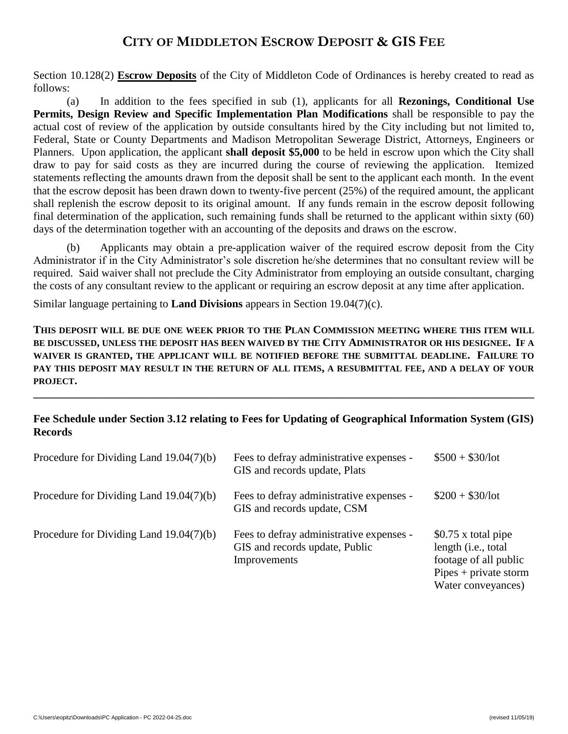### **CITY OF MIDDLETON ESCROW DEPOSIT & GIS FEE**

Section 10.128(2) **Escrow Deposits** of the City of Middleton Code of Ordinances is hereby created to read as follows:

(a) In addition to the fees specified in sub (1), applicants for all **Rezonings, Conditional Use Permits, Design Review and Specific Implementation Plan Modifications** shall be responsible to pay the actual cost of review of the application by outside consultants hired by the City including but not limited to, Federal, State or County Departments and Madison Metropolitan Sewerage District, Attorneys, Engineers or Planners. Upon application, the applicant **shall deposit \$5,000** to be held in escrow upon which the City shall draw to pay for said costs as they are incurred during the course of reviewing the application. Itemized statements reflecting the amounts drawn from the deposit shall be sent to the applicant each month. In the event that the escrow deposit has been drawn down to twenty-five percent (25%) of the required amount, the applicant shall replenish the escrow deposit to its original amount. If any funds remain in the escrow deposit following final determination of the application, such remaining funds shall be returned to the applicant within sixty (60) days of the determination together with an accounting of the deposits and draws on the escrow.

(b) Applicants may obtain a pre-application waiver of the required escrow deposit from the City Administrator if in the City Administrator's sole discretion he/she determines that no consultant review will be required. Said waiver shall not preclude the City Administrator from employing an outside consultant, charging the costs of any consultant review to the applicant or requiring an escrow deposit at any time after application.

Similar language pertaining to **Land Divisions** appears in Section 19.04(7)(c).

**THIS DEPOSIT WILL BE DUE ONE WEEK PRIOR TO THE PLAN COMMISSION MEETING WHERE THIS ITEM WILL BE DISCUSSED, UNLESS THE DEPOSIT HAS BEEN WAIVED BY THE CITY ADMINISTRATOR OR HIS DESIGNEE. IF A WAIVER IS GRANTED, THE APPLICANT WILL BE NOTIFIED BEFORE THE SUBMITTAL DEADLINE. FAILURE TO PAY THIS DEPOSIT MAY RESULT IN THE RETURN OF ALL ITEMS, A RESUBMITTAL FEE, AND A DELAY OF YOUR PROJECT.**

#### **Fee Schedule under Section 3.12 relating to Fees for Updating of Geographical Information System (GIS) Records**

**\_\_\_\_\_\_\_\_\_\_\_\_\_\_\_\_\_\_\_\_\_\_\_\_\_\_\_\_\_\_\_\_\_\_\_\_\_\_\_\_\_\_\_\_\_\_\_\_\_\_\_\_\_\_\_\_\_\_\_\_\_\_\_\_\_\_\_\_\_\_\_\_\_\_\_\_\_\_\_\_\_\_\_\_\_\_\_\_\_\_**

| Procedure for Dividing Land $19.04(7)(b)$ | Fees to defray administrative expenses -<br>GIS and records update, Plats                  | $$500 + $30/lot$                                                                                                     |
|-------------------------------------------|--------------------------------------------------------------------------------------------|----------------------------------------------------------------------------------------------------------------------|
| Procedure for Dividing Land $19.04(7)(b)$ | Fees to defray administrative expenses -<br>GIS and records update, CSM                    | $$200 + $30/lot$                                                                                                     |
| Procedure for Dividing Land $19.04(7)(b)$ | Fees to defray administrative expenses -<br>GIS and records update, Public<br>Improvements | \$0.75 x total pipe<br>length (i.e., total<br>footage of all public<br>$Pipes + private storm$<br>Water conveyances) |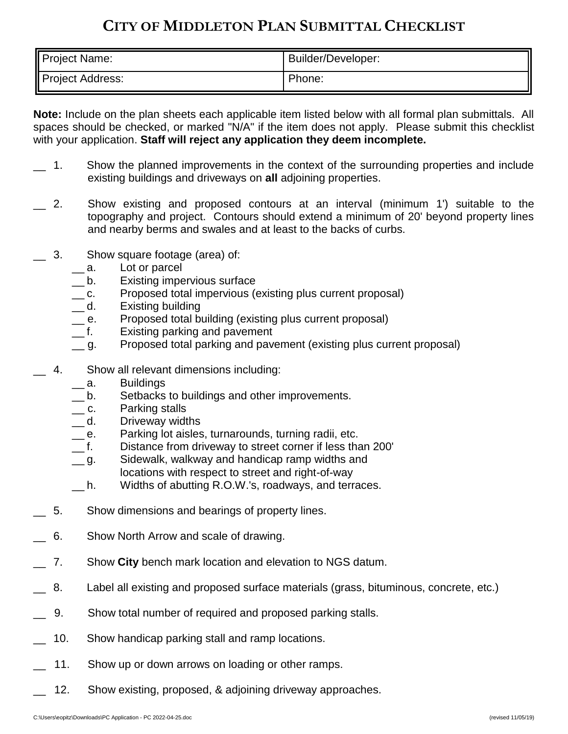## **CITY OF MIDDLETON PLAN SUBMITTAL CHECKLIST**

| Project Name:    | Builder/Developer: |
|------------------|--------------------|
| Project Address: | Phone:             |

**Note:** Include on the plan sheets each applicable item listed below with all formal plan submittals. All spaces should be checked, or marked "N/A" if the item does not apply. Please submit this checklist with your application. **Staff will reject any application they deem incomplete.**

- 1. Show the planned improvements in the context of the surrounding properties and include existing buildings and driveways on **all** adjoining properties.
- 2. Show existing and proposed contours at an interval (minimum 1') suitable to the topography and project. Contours should extend a minimum of 20' beyond property lines and nearby berms and swales and at least to the backs of curbs.
- 3. Show square footage (area) of:
	- \_\_ a. Lot or parcel
	- \_\_ b. Existing impervious surface
	- \_\_ c. Proposed total impervious (existing plus current proposal)
	- d. Existing building
	- \_\_ e. Proposed total building (existing plus current proposal)
	- \_\_ f. Existing parking and pavement
	- g. Proposed total parking and pavement (existing plus current proposal)
- 4. Show all relevant dimensions including:
	- \_\_ a. Buildings
	- \_\_ b. Setbacks to buildings and other improvements.
	- \_\_ c. Parking stalls
	- \_\_ d. Driveway widths
	- e. Parking lot aisles, turnarounds, turning radii, etc.
	- \_\_ f. Distance from driveway to street corner if less than 200'
	- g. Sidewalk, walkway and handicap ramp widths and locations with respect to street and right-of-way
	- h. Widths of abutting R.O.W.'s, roadways, and terraces.
- 5. Show dimensions and bearings of property lines.
- \_\_ 6. Show North Arrow and scale of drawing.
- \_\_ 7. Show **City** bench mark location and elevation to NGS datum.
- 8. Label all existing and proposed surface materials (grass, bituminous, concrete, etc.)
- \_\_ 9. Show total number of required and proposed parking stalls.
- 10. Show handicap parking stall and ramp locations.
- 11. Show up or down arrows on loading or other ramps.
- 12. Show existing, proposed, & adjoining driveway approaches.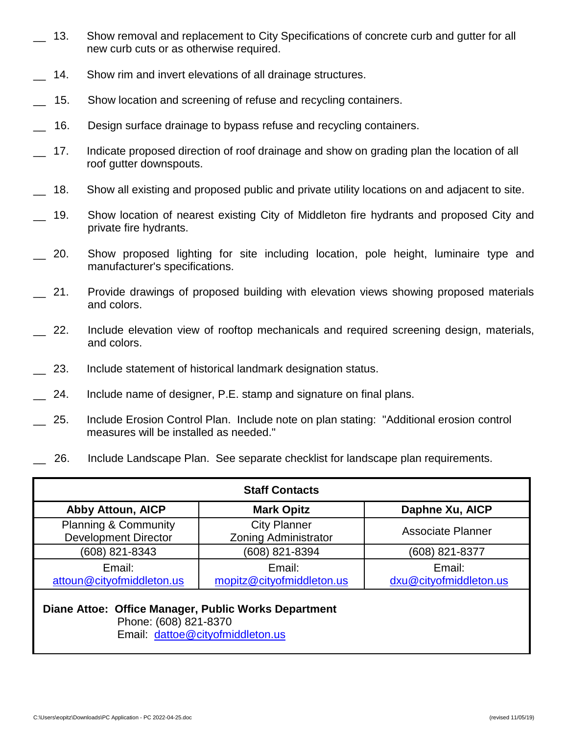- 13. Show removal and replacement to City Specifications of concrete curb and gutter for all new curb cuts or as otherwise required.
- 14. Show rim and invert elevations of all drainage structures.
- 15. Show location and screening of refuse and recycling containers.
- 16. Design surface drainage to bypass refuse and recycling containers.
- 17. Indicate proposed direction of roof drainage and show on grading plan the location of all roof gutter downspouts.
- 18. Show all existing and proposed public and private utility locations on and adjacent to site.
- 19. Show location of nearest existing City of Middleton fire hydrants and proposed City and private fire hydrants.
- 20. Show proposed lighting for site including location, pole height, luminaire type and manufacturer's specifications.
- 21. Provide drawings of proposed building with elevation views showing proposed materials and colors.
- 22. Include elevation view of rooftop mechanicals and required screening design, materials, and colors.
- 23. Include statement of historical landmark designation status.
- 24. Include name of designer, P.E. stamp and signature on final plans.
- 25. Include Erosion Control Plan. Include note on plan stating: "Additional erosion control measures will be installed as needed."
- 26. Include Landscape Plan. See separate checklist for landscape plan requirements.

| <b>Staff Contacts</b>                                                                                             |                                                    |                                  |  |
|-------------------------------------------------------------------------------------------------------------------|----------------------------------------------------|----------------------------------|--|
| <b>Abby Attoun, AICP</b>                                                                                          | <b>Mark Opitz</b>                                  | Daphne Xu, AICP                  |  |
| <b>Planning &amp; Community</b><br><b>Development Director</b>                                                    | <b>City Planner</b><br><b>Zoning Administrator</b> | <b>Associate Planner</b>         |  |
| (608) 821-8343                                                                                                    | (608) 821-8394                                     | (608) 821-8377                   |  |
| Email:<br>attoun@cityofmiddleton.us                                                                               | Email:<br>mopitz@cityofmiddleton.us                | Email:<br>dxu@cityofmiddleton.us |  |
| Diane Attoe: Office Manager, Public Works Department<br>Phone: (608) 821-8370<br>Email: dattoe@cityofmiddleton.us |                                                    |                                  |  |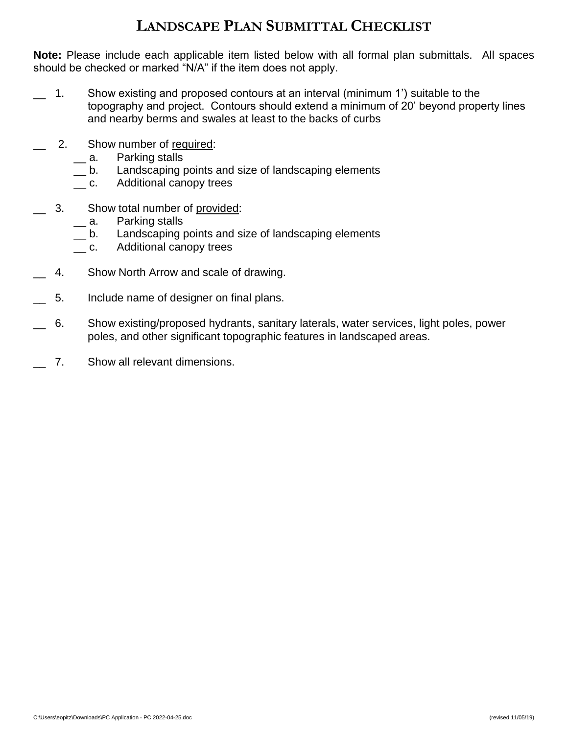## **LANDSCAPE PLAN SUBMITTAL CHECKLIST**

**Note:** Please include each applicable item listed below with all formal plan submittals. All spaces should be checked or marked "N/A" if the item does not apply.

- 1. Show existing and proposed contours at an interval (minimum 1') suitable to the topography and project. Contours should extend a minimum of 20' beyond property lines and nearby berms and swales at least to the backs of curbs
- 2. Show number of required:
	- \_\_ a. Parking stalls
	- \_\_ b. Landscaping points and size of landscaping elements
	- \_\_ c. Additional canopy trees
- 3. Show total number of provided:
	- a. Parking stalls
	- \_\_ b. Landscaping points and size of landscaping elements
	- \_ c. Additional canopy trees
- 4. Show North Arrow and scale of drawing.
- \_\_ 5. Include name of designer on final plans.
- \_\_ 6. Show existing/proposed hydrants, sanitary laterals, water services, light poles, power poles, and other significant topographic features in landscaped areas.
- 7. Show all relevant dimensions.